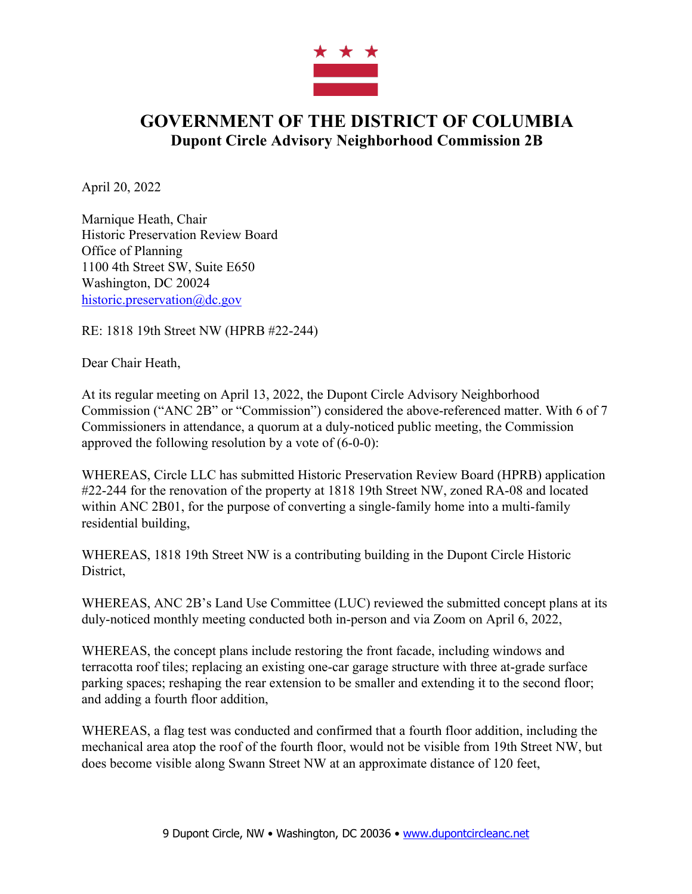

## **GOVERNMENT OF THE DISTRICT OF COLUMBIA Dupont Circle Advisory Neighborhood Commission 2B**

April 20, 2022

Marnique Heath, Chair Historic Preservation Review Board Office of Planning 1100 4th Street SW, Suite E650 Washington, DC 20024 historic.preservation@dc.gov

RE: 1818 19th Street NW (HPRB #22-244)

Dear Chair Heath,

At its regular meeting on April 13, 2022, the Dupont Circle Advisory Neighborhood Commission ("ANC 2B" or "Commission") considered the above-referenced matter. With 6 of 7 Commissioners in attendance, a quorum at a duly-noticed public meeting, the Commission approved the following resolution by a vote of (6-0-0):

WHEREAS, Circle LLC has submitted Historic Preservation Review Board (HPRB) application #22-244 for the renovation of the property at 1818 19th Street NW, zoned RA-08 and located within ANC 2B01, for the purpose of converting a single-family home into a multi-family residential building,

WHEREAS, 1818 19th Street NW is a contributing building in the Dupont Circle Historic District,

WHEREAS, ANC 2B's Land Use Committee (LUC) reviewed the submitted concept plans at its duly-noticed monthly meeting conducted both in-person and via Zoom on April 6, 2022,

WHEREAS, the concept plans include restoring the front facade, including windows and terracotta roof tiles; replacing an existing one-car garage structure with three at-grade surface parking spaces; reshaping the rear extension to be smaller and extending it to the second floor; and adding a fourth floor addition,

WHEREAS, a flag test was conducted and confirmed that a fourth floor addition, including the mechanical area atop the roof of the fourth floor, would not be visible from 19th Street NW, but does become visible along Swann Street NW at an approximate distance of 120 feet,